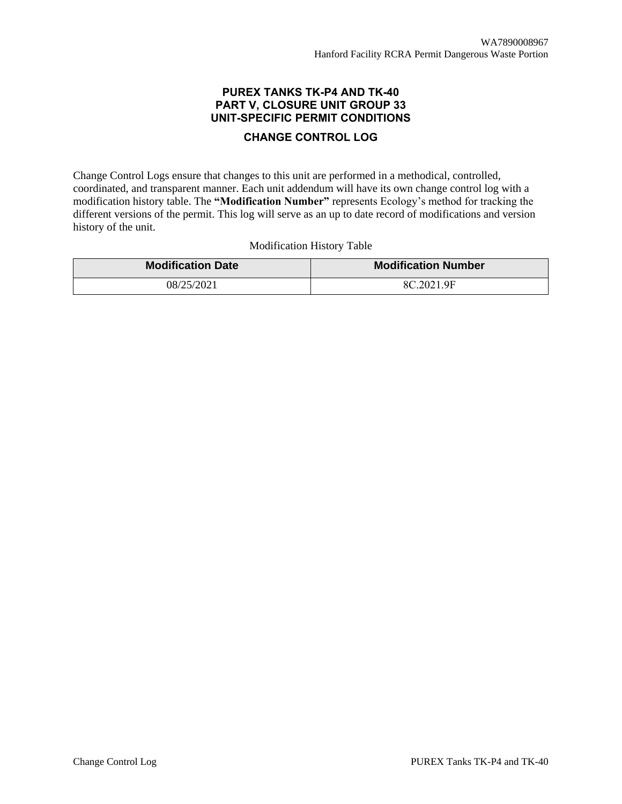## **PUREX TANKS TK-P4 AND TK-40 PART V, CLOSURE UNIT GROUP 33 UNIT-SPECIFIC PERMIT CONDITIONS**

# **CHANGE CONTROL LOG**

Change Control Logs ensure that changes to this unit are performed in a methodical, controlled, coordinated, and transparent manner. Each unit addendum will have its own change control log with a modification history table. The **"Modification Number"** represents Ecology's method for tracking the different versions of the permit. This log will serve as an up to date record of modifications and version history of the unit.

Modification History Table

| <b>Modification Date</b> | <b>Modification Number</b> |
|--------------------------|----------------------------|
| 08/25/2021               | 8C.2021.9F                 |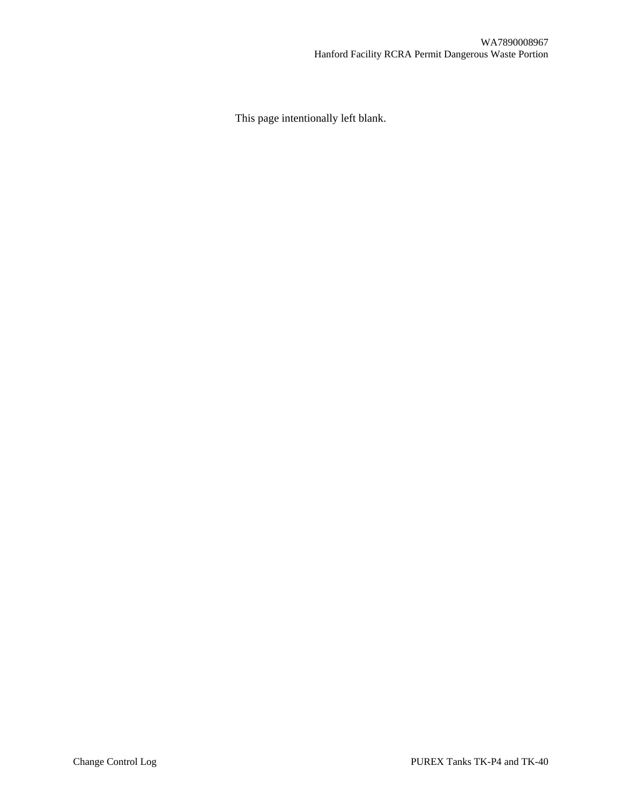This page intentionally left blank.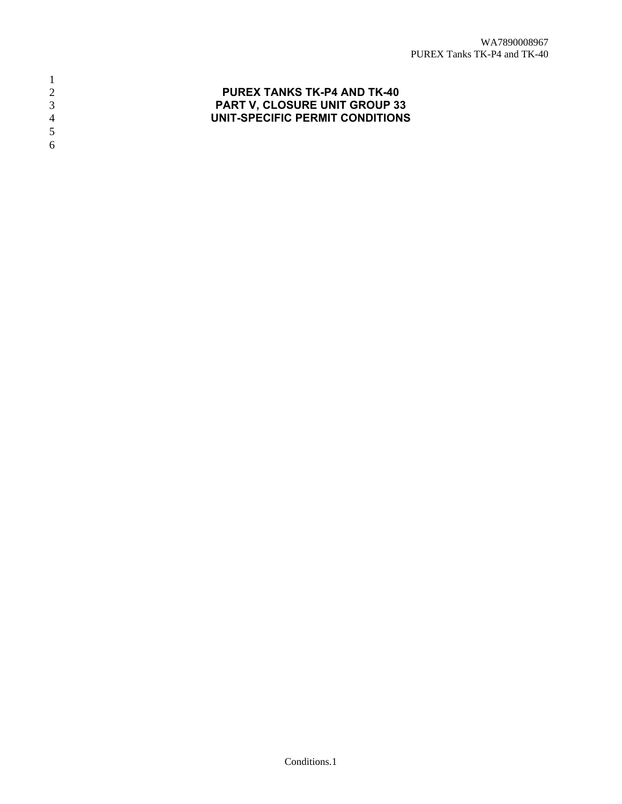|    | <b>PUREX TANKS TK-P4 AND TK-40</b>   |
|----|--------------------------------------|
|    | <b>PART V. CLOSURE UNIT GROUP 33</b> |
|    | UNIT-SPECIFIC PERMIT CONDITIONS      |
|    |                                      |
| -6 |                                      |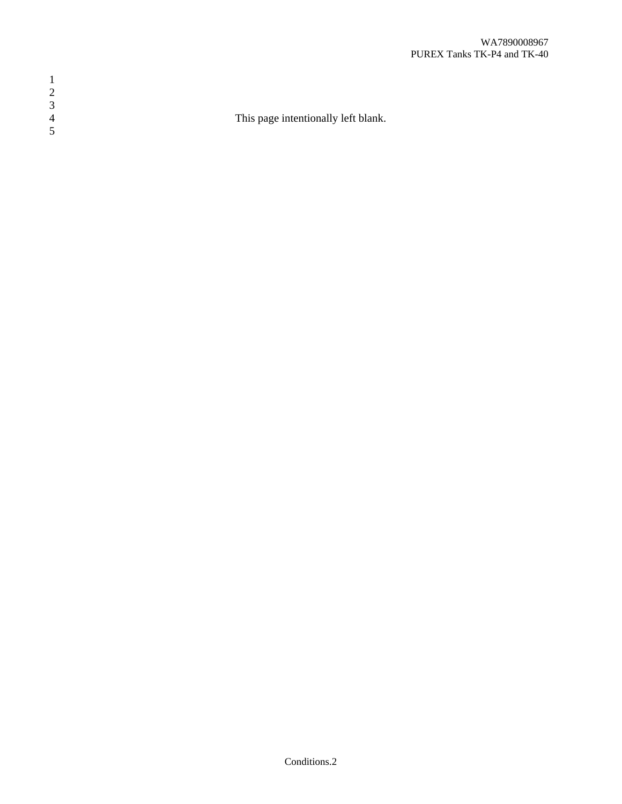This page intentionally left blank.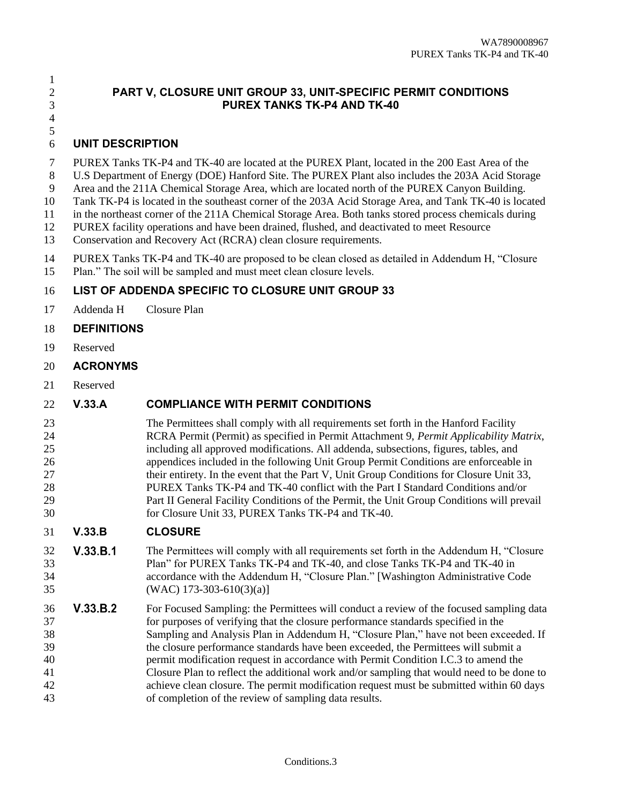# **PART V, CLOSURE UNIT GROUP 33, UNIT-SPECIFIC PERMIT CONDITIONS PUREX TANKS TK-P4 AND TK-40**

#### **UNIT DESCRIPTION**

- PUREX Tanks TK-P4 and TK-40 are located at the PUREX Plant, located in the 200 East Area of the
- U.S Department of Energy (DOE) Hanford Site. The PUREX Plant also includes the 203A Acid Storage
- Area and the 211A Chemical Storage Area, which are located north of the PUREX Canyon Building.
- Tank TK-P4 is located in the southeast corner of the 203A Acid Storage Area, and Tank TK-40 is located
- in the northeast corner of the 211A Chemical Storage Area. Both tanks stored process chemicals during
- PUREX facility operations and have been drained, flushed, and deactivated to meet Resource
- Conservation and Recovery Act (RCRA) clean closure requirements.
- PUREX Tanks TK-P4 and TK-40 are proposed to be clean closed as detailed in Addendum H, "Closure
- Plan." The soil will be sampled and must meet clean closure levels.

# **LIST OF ADDENDA SPECIFIC TO CLOSURE UNIT GROUP 33**

- Addenda H Closure Plan
- **DEFINITIONS**
- Reserved
- **ACRONYMS**
- Reserved

## **V.33.A COMPLIANCE WITH PERMIT CONDITIONS**

 The Permittees shall comply with all requirements set forth in the Hanford Facility RCRA Permit (Permit) as specified in Permit Attachment 9, *Permit Applicability Matrix*, including all approved modifications. All addenda, subsections, figures, tables, and appendices included in the following Unit Group Permit Conditions are enforceable in 27 their entirety. In the event that the Part V, Unit Group Conditions for Closure Unit 33, PUREX Tanks TK-P4 and TK-40 conflict with the Part I Standard Conditions and/or Part II General Facility Conditions of the Permit, the Unit Group Conditions will prevail for Closure Unit 33, PUREX Tanks TK-P4 and TK-40.

# **V.33.B CLOSURE**

- 32 V.33.B.1 The Permittees will comply with all requirements set forth in the Addendum H, "Closure Plan" for PUREX Tanks TK-P4 and TK-40, and close Tanks TK-P4 and TK-40 in accordance with the Addendum H, "Closure Plan." [Washington Administrative Code (WAC) 173-303-610(3)(a)]
- 36 V.33.B.2 For Focused Sampling: the Permittees will conduct a review of the focused sampling data for purposes of verifying that the closure performance standards specified in the Sampling and Analysis Plan in Addendum H, "Closure Plan," have not been exceeded. If the closure performance standards have been exceeded, the Permittees will submit a permit modification request in accordance with Permit Condition I.C.3 to amend the Closure Plan to reflect the additional work and/or sampling that would need to be done to achieve clean closure. The permit modification request must be submitted within 60 days of completion of the review of sampling data results.